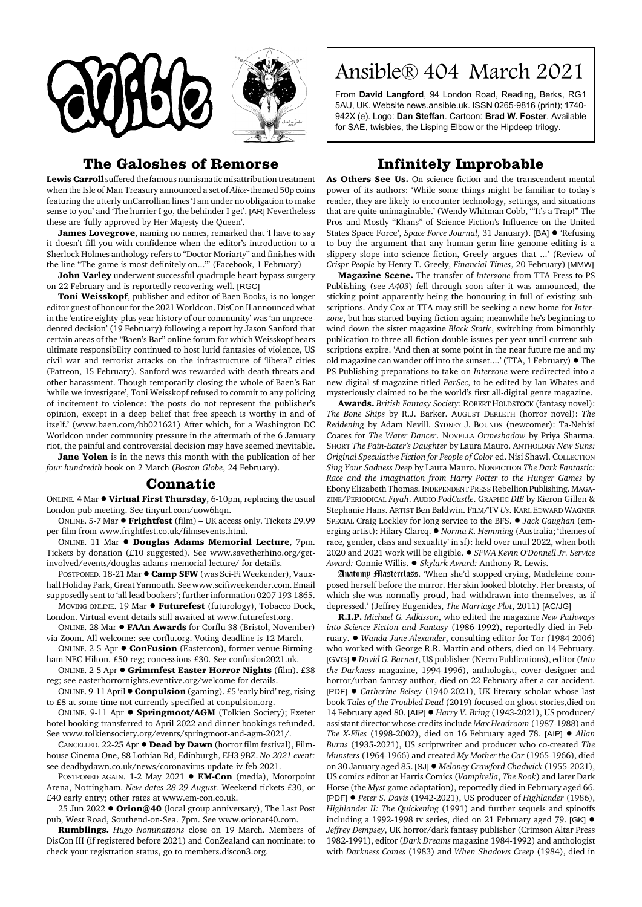



## **The Galoshes of Remorse**

**Lewis Carroll** suffered the famous numismatic misattribution treatment when the Isle of Man Treasury announced a set of *Alice*-themed 50p coins featuring the utterly unCarrollian lines 'I am under no obligation to make sense to you' and 'The hurrier I go, the behinder I get'. [AR] Nevertheless these are 'fully approved by Her Majesty the Queen'.

**James Lovegrove**, naming no names, remarked that 'I have to say it doesn't fill you with confidence when the editor's introduction to a Sherlock Holmes anthology refers to "Doctor Moriarty" and finishes with the line "The game is most definitely on..."' (Facebook, 1 February)

**John Varley** underwent successful quadruple heart bypass surgery on 22 February and is reportedly recovering well. [RGC]

**Toni Weisskopf**, publisher and editor of Baen Books, is no longer editor guest of honour for the 2021 Worldcon. DisCon II announced what in the 'entire eighty-plus year history of our community' was 'an unprecedented decision' (19 February) following a report by Jason Sanford that certain areas of the "Baen's Bar" online forum for which Weisskopf bears ultimate responsibility continued to host lurid fantasies of violence, US civil war and terrorist attacks on the infrastructure of 'liberal' cities (Patreon, 15 February). Sanford was rewarded with death threats and other harassment. Though temporarily closing the whole of Baen's Bar 'while we investigate', Toni Weisskopf refused to commit to any policing of incitement to violence: 'the posts do not represent the publisher's opinion, except in a deep belief that free speech is worthy in and of itself.' (www.baen.com/bb021621) After which, for a Washington DC Worldcon under community pressure in the aftermath of the 6 January riot, the painful and controversial decision may have seemed inevitable.

**Jane Yolen** is in the news this month with the publication of her *four hundredth* book on 2 March (*Boston Globe*, 24 February).

## **Connatic**

ONLINE. 4 Mar  $\bullet$  Virtual First Thursday, 6-10pm, replacing the usual London pub meeting. See tinyurl.com/uow6hqn.

ONLINE. 5-7 Mar  $\bullet$  **Frightfest** (film) – UK access only. Tickets £9.99 per film from www.frightfest.co.uk/filmsevents.html.

ONLINE. 11 Mar ! **Douglas Adams Memorial Lecture**, 7pm. Tickets by donation (£10 suggested). See www.savetherhino.org/getinvolved/events/douglas-adams-memorial-lecture/ for details.

POSTPONED. 18-21 Mar  $\bullet$  **Camp SFW** (was Sci-Fi Weekender), Vauxhall Holiday Park, Great Yarmouth. See www.scifiweekender.com. Email supposedly sent to 'all lead bookers'; further information 0207 193 1865.

MOVING ONLINE. 19 Mar ! **Futurefest** (futurology), Tobacco Dock, London. Virtual event details still awaited at www.futurefest.org.

ONLINE. 28 Mar ! **FAAn Awards** for Corflu 38 (Bristol, November) via Zoom. All welcome: see corflu.org. Voting deadline is 12 March.

ONLINE. 2-5 Apr ! **ConFusion** (Eastercon), former venue Birmingham NEC Hilton. £50 reg; concessions £30. See confusion2021.uk.

ONLINE. 2-5 Apr ! **Grimmfest Easter Horror Nights** (film). £38 reg; see easterhorrornights.eventive.org/welcome for details.

ONLINE. 9-11 April !**Conpulsion** (gaming). £5 'early bird' reg, rising to £8 at some time not currently specified at conpulsion.org.

ONLINE. 9-11 Apr ! **Springmoot/AGM** (Tolkien Society); Exeter hotel booking transferred to April 2022 and dinner bookings refunded. See www.tolkiensociety.org/events/springmoot-and-agm-2021/.

CANCELLED. 22-25 Apr  $\bullet$  **Dead by Dawn** (horror film festival), Filmhouse Cinema One, 88 Lothian Rd, Edinburgh, EH3 9BZ. *No 2021 event:* see deadbydawn.co.uk/news/coronavirus-update-iv-feb-2021.

POSTPONED AGAIN. 1-2 May 2021 . **EM-Con** (media), Motorpoint Arena, Nottingham. *New dates 28-29 August.* Weekend tickets £30, or £40 early entry; other rates at www.em-con.co.uk.

25 Jun 2022 ! **Orion@40** (local group anniversary), The Last Post pub, West Road, Southend-on-Sea. 7pm. See www.orionat40.com.

**Rumblings.** *Hugo Nominations* close on 19 March. Members of DisCon III (if registered before 2021) and ConZealand can nominate: to check your registration status, go to members.discon3.org.

## Ansible® 404 March 2021

From **David Langford**, 94 London Road, Reading, Berks, RG1 5AU, UK. Website news.ansible.uk. ISSN 0265-9816 (print); 1740- 942X (e). Logo: **Dan Steffan**. Cartoon: **Brad W. Foster**. Available for SAE, twisbies, the Lisping Elbow or the Hipdeep trilogy.

## **Infinitely Improbable**

**As Others See Us.** On science fiction and the transcendent mental power of its authors: 'While some things might be familiar to today's reader, they are likely to encounter technology, settings, and situations that are quite unimaginable.' (Wendy Whitman Cobb, '"It's a Trap!" The Pros and Mostly "Khans" of Science Fiction's Influence on the United States Space Force', *Space Force Journal*, 31 January). [BA]  $\bullet$  'Refusing to buy the argument that any human germ line genome editing is a slippery slope into science fiction, Greely argues that ...' (Review of *Crispr People* by Henry T. Greely, *Financial Times*, 20 February) [MMW]

**Magazine Scene.** The transfer of *Interzone* from TTA Press to PS Publishing (see *A403*) fell through soon after it was announced, the sticking point apparently being the honouring in full of existing subscriptions. Andy Cox at TTA may still be seeking a new home for *Interzone*, but has started buying fiction again; meanwhile he's beginning to wind down the sister magazine *Black Static*, switching from bimonthly publication to three all-fiction double issues per year until current subscriptions expire. 'And then at some point in the near future me and my old magazine can wander off into the sunset....' (TTA, 1 February)  $\bullet$  The PS Publishing preparations to take on *Interzone* were redirected into a new digital sf magazine titled *ParSec*, to be edited by Ian Whates and mysteriously claimed to be the world's first all-digital genre magazine.

**Awards.** *British Fantasy Society:* ROBERT HOLDSTOCK (fantasy novel): *The Bone Ships* by R.J. Barker. AUGUST DERLETH (horror novel): *The Reddening* by Adam Nevill. SYDNEY J. BOUNDS (newcomer): Ta-Nehisi Coates for *The Water Dancer*. NOVELLA *Ormeshadow* by Priya Sharma. SHORT *The Pain-Eater's Daughter* by Laura Mauro. ANTHOLOGY *New Suns: Original Speculative Fiction for People of Color* ed. Nisi Shawl. COLLECTION *Sing Your Sadness Deep* by Laura Mauro. NONFICTION *The Dark Fantastic: Race and the Imagination from Harry Potter to the Hunger Games* by Ebony Elizabeth Thomas. INDEPENDENT PRESS Rebellion Publishing. MAGA-ZINE/PERIODICAL *Fiyah*. AUDIO *PodCastle*. GRAPHIC *DIE* by Kieron Gillen & Stephanie Hans. ARTIST Ben Baldwin. FILM/TV *Us*. KARL EDWARD WAGNER SPECIAL Craig Lockley for long service to the BFS. ! *Jack Gaughan* (emerging artist): Hilary Clarcq. ! *Norma K. Hemming* (Australia; 'themes of race, gender, class and sexuality' in sf): held over until 2022, when both 2020 and 2021 work will be eligible. ! *SFWA Kevin O'Donnell Jr. Service Award:* Connie Willis. ! *Skylark Award:* Anthony R. Lewis.

Anatomy Masterclass. 'When she'd stopped crying, Madeleine composed herself before the mirror. Her skin looked blotchy. Her breasts, of which she was normally proud, had withdrawn into themselves, as if depressed.' (Jeffrey Eugenides, *The Marriage Plot*, 2011) [AC/JG]

**R.I.P.** *Michael G. Adkisson*, who edited the magazine *New Pathways into Science Fiction and Fantasy* (1986-1992), reportedly died in February. ! *Wanda June Alexander*, consulting editor for Tor (1984-2006) who worked with George R.R. Martin and others, died on 14 February. [GVG]! *David G. Barnett*, US publisher (Necro Publications), editor (*Into the Darkness* magazine, 1994-1996), anthologist, cover designer and horror/urban fantasy author, died on 22 February after a car accident. [PDF] ! *Catherine Belsey* (1940-2021), UK literary scholar whose last book *Tales of the Troubled Dead* (2019) focused on ghost stories,died on 14 February aged 80. [AIP]  $\bullet$  *Harry V. Bring* (1943-2021), US producer/ assistant director whose credits include *Max Headroom* (1987-1988) and *The X-Files* (1998-2002), died on 16 February aged 78. [AIP] ! *Allan Burns* (1935-2021), US scriptwriter and producer who co-created *The Munsters* (1964-1966) and created *My Mother the Car* (1965-1966), died on 30 January aged 85. [SJ] ! *Meloney Crawford Chadwick* (1955-2021), US comics editor at Harris Comics (*Vampirella*, *The Rook*) and later Dark Horse (the *Myst* game adaptation), reportedly died in February aged 66. [PDF] ! *Peter S. Davis* (1942-2021), US producer of *Highlander* (1986), *Highlander II: The Quickening* (1991) and further sequels and spinoffs including a 1992-1998 tv series, died on 21 February aged 79. [GK]  $\bullet$ *Jeffrey Dempsey*, UK horror/dark fantasy publisher (Crimson Altar Press 1982-1991), editor (*Dark Dreams* magazine 1984-1992) and anthologist with *Darkness Comes* (1983) and *When Shadows Creep* (1984), died in